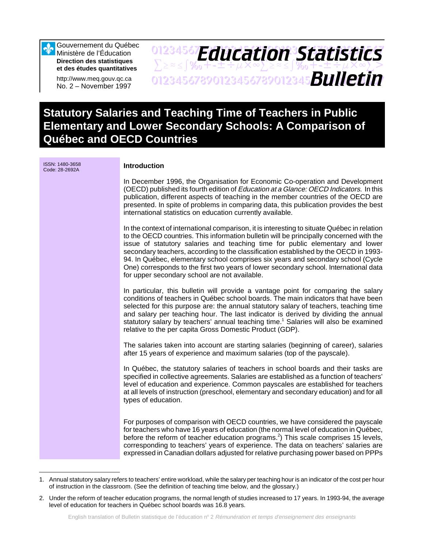Gouvernement du Québec Ministère de l'Éducation **Direction des statistiques et des études quantitatives**

http://www.meq.gouv.qc.ca No. 2 – November 1997

## 01234567**F***Anri Stion Statictice*  $\sum z \approx \int \mathcal{X}_0 + \pm \pm \div \mu \times \infty$  $\sum z \approx \pm \int \mathcal{X}_0 + \pm \pm \div \mu \times \infty$  $\sum >$ 01234567890123456789012345678901234567 *Bulletin Education Statistics*

# **Statutory Salaries and Teaching Time of Teachers in Public Elementary and Lower Secondary Schools: A Comparison of Québec and OECD Countries**

ISSN: 1480-3658

#### **Introduction**

In December 1996, the Organisation for Economic Co-operation and Development (OECD) published its fourth edition of Education at a Glance: OECD Indicators. In this publication, different aspects of teaching in the member countries of the OECD are presented. In spite of problems in comparing data, this publication provides the best international statistics on education currently available.

In the context of international comparison, it is interesting to situate Québec in relation to the OECD countries. This information bulletin will be principally concerned with the issue of statutory salaries and teaching time for public elementary and lower secondary teachers, according to the classification established by the OECD in 1993- 94. In Québec, elementary school comprises six years and secondary school (Cycle One) corresponds to the first two years of lower secondary school. International data for upper secondary school are not available.

In particular, this bulletin will provide a vantage point for comparing the salary conditions of teachers in Québec school boards. The main indicators that have been selected for this purpose are: the annual statutory salary of teachers, teaching time and salary per teaching hour. The last indicator is derived by dividing the annual statutory salary by teachers' annual teaching time.<sup>1</sup> Salaries will also be examined relative to the per capita Gross Domestic Product (GDP).

The salaries taken into account are starting salaries (beginning of career), salaries after 15 years of experience and maximum salaries (top of the payscale).

In Québec, the statutory salaries of teachers in school boards and their tasks are specified in collective agreements. Salaries are established as a function of teachers' level of education and experience. Common payscales are established for teachers at all levels of instruction (preschool, elementary and secondary education) and for all types of education.

For purposes of comparison with OECD countries, we have considered the payscale for teachers who have 16 years of education (the normal level of education in Québec, before the reform of teacher education programs.<sup>2</sup>) This scale comprises 15 levels, corresponding to teachers' years of experience. The data on teachers' salaries are expressed in Canadian dollars adjusted for relative purchasing power based on PPPs

<sup>1.</sup> Annual statutory salary refers to teachers' entire workload, while the salary per teaching hour is an indicator of the cost per hour of instruction in the classroom. (See the definition of teaching time below, and the glossary.)

<sup>2.</sup> Under the reform of teacher education programs, the normal length of studies increased to 17 years. In 1993-94, the average level of education for teachers in Québec school boards was 16.8 years.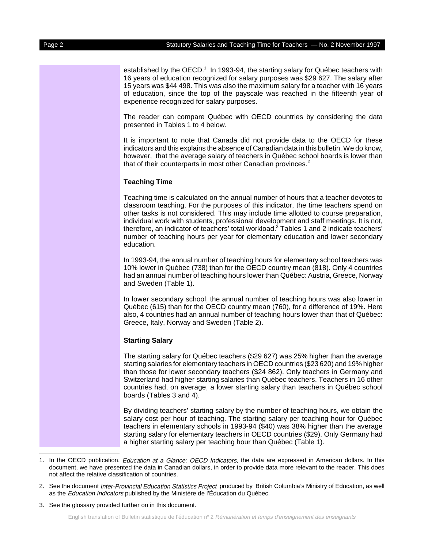established by the OECD.<sup>1</sup> In 1993-94, the starting salary for Québec teachers with 16 years of education recognized for salary purposes was \$29 627. The salary after 15 years was \$44 498. This was also the maximum salary for a teacher with 16 years of education, since the top of the payscale was reached in the fifteenth year of experience recognized for salary purposes.

The reader can compare Québec with OECD countries by considering the data presented in Tables 1 to 4 below.

It is important to note that Canada did not provide data to the OECD for these indicators and this explains the absence of Canadian data in this bulletin. We do know, however, that the average salary of teachers in Québec school boards is lower than that of their counterparts in most other Canadian provinces.<sup>2</sup>

#### **Teaching Time**

Teaching time is calculated on the annual number of hours that a teacher devotes to classroom teaching. For the purposes of this indicator, the time teachers spend on other tasks is not considered. This may include time allotted to course preparation, individual work with students, professional development and staff meetings. It is not, therefore, an indicator of teachers' total workload.<sup>3</sup> Tables 1 and 2 indicate teachers' number of teaching hours per year for elementary education and lower secondary education.

In 1993-94, the annual number of teaching hours for elementary school teachers was 10% lower in Québec (738) than for the OECD country mean (818). Only 4 countries had an annual number of teaching hours lower than Québec: Austria, Greece, Norway and Sweden (Table 1).

In lower secondary school, the annual number of teaching hours was also lower in Québec (615) than for the OECD country mean (760), for a difference of 19%. Here also, 4 countries had an annual number of teaching hours lower than that of Québec: Greece, Italy, Norway and Sweden (Table 2).

#### **Starting Salary**

The starting salary for Québec teachers (\$29 627) was 25% higher than the average starting salaries for elementary teachers in OECD countries (\$23 620) and 19% higher than those for lower secondary teachers (\$24 862). Only teachers in Germany and Switzerland had higher starting salaries than Québec teachers. Teachers in 16 other countries had, on average, a lower starting salary than teachers in Québec school boards (Tables 3 and 4).

By dividing teachers' starting salary by the number of teaching hours, we obtain the salary cost per hour of teaching. The starting salary per teaching hour for Québec teachers in elementary schools in 1993-94 (\$40) was 38% higher than the average starting salary for elementary teachers in OECD countries (\$29). Only Germany had a higher starting salary per teaching hour than Québec (Table 1).

- 2. See the document Inter-Provincial Education Statistics Project produced by British Columbia's Ministry of Education, as well as the *Education Indicators* published by the Ministère de l'Éducation du Québec.
- 3. See the glossary provided further on in this document.

<sup>1.</sup> In the OECD publication, Education at a Glance: OECD Indicators, the data are expressed in American dollars. In this document, we have presented the data in Canadian dollars, in order to provide data more relevant to the reader. This does not affect the relative classification of countries.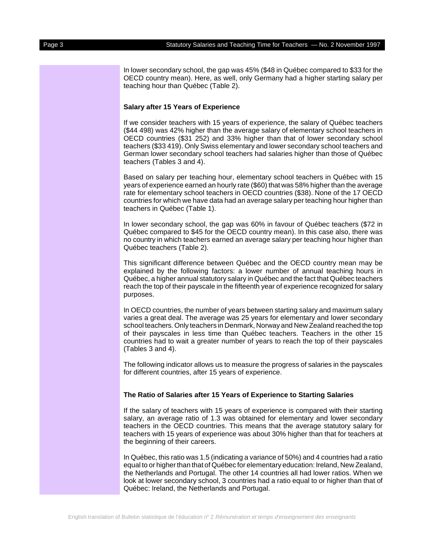In lower secondary school, the gap was 45% (\$48 in Québec compared to \$33 for the OECD country mean). Here, as well, only Germany had a higher starting salary per teaching hour than Québec (Table 2).

#### **Salary after 15 Years of Experience**

If we consider teachers with 15 years of experience, the salary of Québec teachers (\$44 498) was 42% higher than the average salary of elementary school teachers in OECD countries (\$31 252) and 33% higher than that of lower secondary school teachers (\$33 419). Only Swiss elementary and lower secondary school teachers and German lower secondary school teachers had salaries higher than those of Québec teachers (Tables 3 and 4).

Based on salary per teaching hour, elementary school teachers in Québec with 15 years of experience earned an hourly rate (\$60) that was 58% higher than the average rate for elementary school teachers in OECD countries (\$38). None of the 17 OECD countries for which we have data had an average salary per teaching hour higher than teachers in Québec (Table 1).

In lower secondary school, the gap was 60% in favour of Québec teachers (\$72 in Québec compared to \$45 for the OECD country mean). In this case also, there was no country in which teachers earned an average salary per teaching hour higher than Québec teachers (Table 2).

This significant difference between Québec and the OECD country mean may be explained by the following factors: a lower number of annual teaching hours in Québec, a higher annual statutory salary in Québec and the fact that Québec teachers reach the top of their payscale in the fifteenth year of experience recognized for salary purposes.

In OECD countries, the number of years between starting salary and maximum salary varies a great deal. The average was 25 years for elementary and lower secondary school teachers. Only teachers in Denmark, Norway and New Zealand reached the top of their payscales in less time than Québec teachers. Teachers in the other 15 countries had to wait a greater number of years to reach the top of their payscales (Tables 3 and 4).

The following indicator allows us to measure the progress of salaries in the payscales for different countries, after 15 years of experience.

#### **The Ratio of Salaries after 15 Years of Experience to Starting Salaries**

If the salary of teachers with 15 years of experience is compared with their starting salary, an average ratio of 1.3 was obtained for elementary and lower secondary teachers in the OECD countries. This means that the average statutory salary for teachers with 15 years of experience was about 30% higher than that for teachers at the beginning of their careers.

In Québec, this ratio was 1.5 (indicating a variance of 50%) and 4 countries had a ratio equal to or higher than that of Québec for elementary education: Ireland, New Zealand, the Netherlands and Portugal. The other 14 countries all had lower ratios. When we look at lower secondary school, 3 countries had a ratio equal to or higher than that of Québec: Ireland, the Netherlands and Portugal.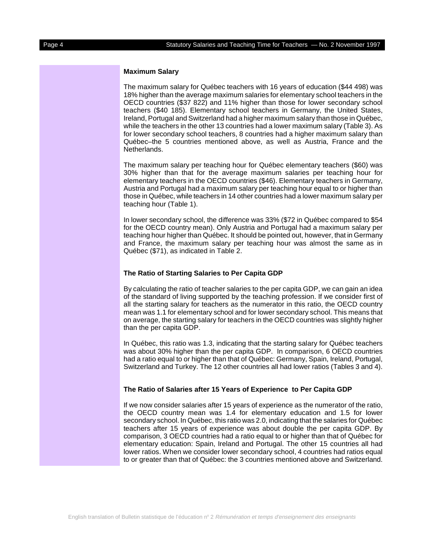#### **Maximum Salary**

The maximum salary for Québec teachers with 16 years of education (\$44 498) was 18% higher than the average maximum salaries for elementary school teachers in the OECD countries (\$37 822) and 11% higher than those for lower secondary school teachers (\$40 185). Elementary school teachers in Germany, the United States, Ireland, Portugal and Switzerland had a higher maximum salary than those in Québec, while the teachers in the other 13 countries had a lower maximum salary (Table 3). As for lower secondary school teachers, 8 countries had a higher maximum salary than Québec–the 5 countries mentioned above, as well as Austria, France and the Netherlands.

The maximum salary per teaching hour for Québec elementary teachers (\$60) was 30% higher than that for the average maximum salaries per teaching hour for elementary teachers in the OECD countries (\$46). Elementary teachers in Germany, Austria and Portugal had a maximum salary per teaching hour equal to or higher than those in Québec, while teachers in 14 other countries had a lower maximum salary per teaching hour (Table 1).

In lower secondary school, the difference was 33% (\$72 in Québec compared to \$54 for the OECD country mean). Only Austria and Portugal had a maximum salary per teaching hour higher than Québec. It should be pointed out, however, that in Germany and France, the maximum salary per teaching hour was almost the same as in Québec (\$71), as indicated in Table 2.

#### **The Ratio of Starting Salaries to Per Capita GDP**

By calculating the ratio of teacher salaries to the per capita GDP, we can gain an idea of the standard of living supported by the teaching profession. If we consider first of all the starting salary for teachers as the numerator in this ratio, the OECD country mean was 1.1 for elementary school and for lower secondary school. This means that on average, the starting salary for teachers in the OECD countries was slightly higher than the per capita GDP.

In Québec, this ratio was 1.3, indicating that the starting salary for Québec teachers was about 30% higher than the per capita GDP. In comparison, 6 OECD countries had a ratio equal to or higher than that of Québec: Germany, Spain, Ireland, Portugal, Switzerland and Turkey. The 12 other countries all had lower ratios (Tables 3 and 4).

#### **The Ratio of Salaries after 15 Years of Experience to Per Capita GDP**

If we now consider salaries after 15 years of experience as the numerator of the ratio, the OECD country mean was 1.4 for elementary education and 1.5 for lower secondary school. In Québec, this ratio was 2.0, indicating that the salaries for Québec teachers after 15 years of experience was about double the per capita GDP. By comparison, 3 OECD countries had a ratio equal to or higher than that of Québec for elementary education: Spain, Ireland and Portugal. The other 15 countries all had lower ratios. When we consider lower secondary school, 4 countries had ratios equal to or greater than that of Québec: the 3 countries mentioned above and Switzerland.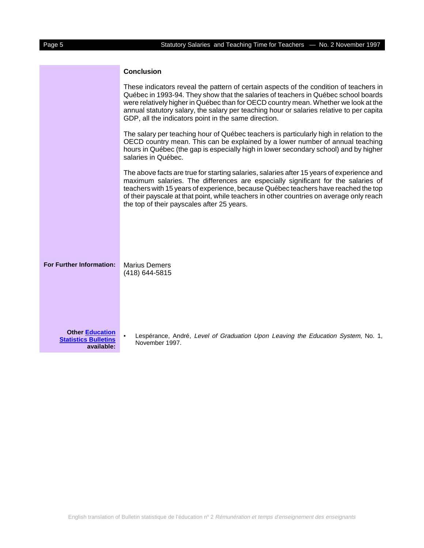### **Conclusion**

|                                                                     | These indicators reveal the pattern of certain aspects of the condition of teachers in<br>Québec in 1993-94. They show that the salaries of teachers in Québec school boards<br>were relatively higher in Québec than for OECD country mean. Whether we look at the<br>annual statutory salary, the salary per teaching hour or salaries relative to per capita<br>GDP, all the indicators point in the same direction. |
|---------------------------------------------------------------------|-------------------------------------------------------------------------------------------------------------------------------------------------------------------------------------------------------------------------------------------------------------------------------------------------------------------------------------------------------------------------------------------------------------------------|
|                                                                     | The salary per teaching hour of Québec teachers is particularly high in relation to the<br>OECD country mean. This can be explained by a lower number of annual teaching<br>hours in Québec (the gap is especially high in lower secondary school) and by higher<br>salaries in Québec.                                                                                                                                 |
|                                                                     | The above facts are true for starting salaries, salaries after 15 years of experience and<br>maximum salaries. The differences are especially significant for the salaries of<br>teachers with 15 years of experience, because Québec teachers have reached the top<br>of their payscale at that point, while teachers in other countries on average only reach<br>the top of their payscales after 25 years.           |
| For Further Information:                                            | <b>Marius Demers</b><br>(418) 644-5815                                                                                                                                                                                                                                                                                                                                                                                  |
| <b>Other Education</b><br><b>Statistics Bulletins</b><br>available: | Lespérance, André, Level of Graduation Upon Leaving the Education System, No. 1,<br>November 1997.                                                                                                                                                                                                                                                                                                                      |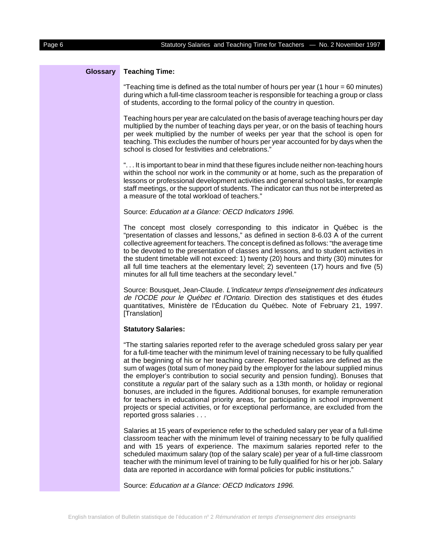#### **Glossary Teaching Time:**

"Teaching time is defined as the total number of hours per year (1 hour = 60 minutes) during which a full-time classroom teacher is responsible for teaching a group or class of students, according to the formal policy of the country in question.

Teaching hours per year are calculated on the basis of average teaching hours per day multiplied by the number of teaching days per year, or on the basis of teaching hours per week multiplied by the number of weeks per year that the school is open for teaching. This excludes the number of hours per year accounted for by days when the school is closed for festivities and celebrations."

". . . It is important to bear in mind that these figures include neither non-teaching hours within the school nor work in the community or at home, such as the preparation of lessons or professional development activities and general school tasks, for example staff meetings, or the support of students. The indicator can thus not be interpreted as a measure of the total workload of teachers."

#### Source: Education at a Glance: OECD Indicators 1996.

The concept most closely corresponding to this indicator in Québec is the "presentation of classes and lessons," as defined in section 8-6.03 A of the current collective agreement for teachers. The concept is defined as follows: "the average time to be devoted to the presentation of classes and lessons, and to student activities in the student timetable will not exceed: 1) twenty (20) hours and thirty (30) minutes for all full time teachers at the elementary level; 2) seventeen (17) hours and five (5) minutes for all full time teachers at the secondary level."

Source: Bousquet, Jean-Claude. L'indicateur temps d'enseignement des indicateurs de l'OCDE pour le Québec et l'Ontario. Direction des statistiques et des études quantitatives, Ministère de l'Éducation du Québec. Note of February 21, 1997. [Translation]

#### **Statutory Salaries:**

"The starting salaries reported refer to the average scheduled gross salary per year for a full-time teacher with the minimum level of training necessary to be fully qualified at the beginning of his or her teaching career. Reported salaries are defined as the sum of wages (total sum of money paid by the employer for the labour supplied minus the employer's contribution to social security and pension funding). Bonuses that constitute a regular part of the salary such as a 13th month, or holiday or regional bonuses, are included in the figures. Additional bonuses, for example remuneration for teachers in educational priority areas, for participating in school improvement projects or special activities, or for exceptional performance, are excluded from the reported gross salaries . . .

Salaries at 15 years of experience refer to the scheduled salary per year of a full-time classroom teacher with the minimum level of training necessary to be fully qualified and with 15 years of experience. The maximum salaries reported refer to the scheduled maximum salary (top of the salary scale) per year of a full-time classroom teacher with the minimum level of training to be fully qualified for his or her job. Salary data are reported in accordance with formal policies for public institutions."

Source: Education at a Glance: OECD Indicators 1996.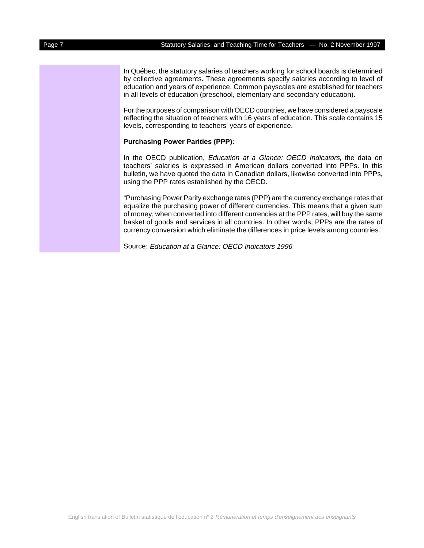In Québec, the statutory salaries of teachers working for school boards is determined by collective agreements. These agreements specify salaries according to level of education and years of experience. Common payscales are established for teachers in all levels of education (preschool, elementary and secondary education).

For the purposes of comparison with OECD countries, we have considered a payscale reflecting the situation of teachers with 16 years of education. This scale contains 15 levels, corresponding to teachers' years of experience.

#### **Purchasing Power Parities (PPP):**

In the OECD publication, *Education at a Glance: OECD Indicators*, the data on teachers' salaries is expressed in American dollars converted into PPPs. In this bulletin, we have quoted the data in Canadian dollars, likewise converted into PPPs, using the PPP rates established by the OECD.

"Purchasing Power Parity exchange rates (PPP) are the currency exchange rates that equalize the purchasing power of different currencies. This means that a given sum of money, when converted into different currencies at the PPP rates, will buy the same basket of goods and services in all countries. In other words, PPPs are the rates of currency conversion which eliminate the differences in price levels among countries."

Source: Education at a Glance: OECD Indicators 1996.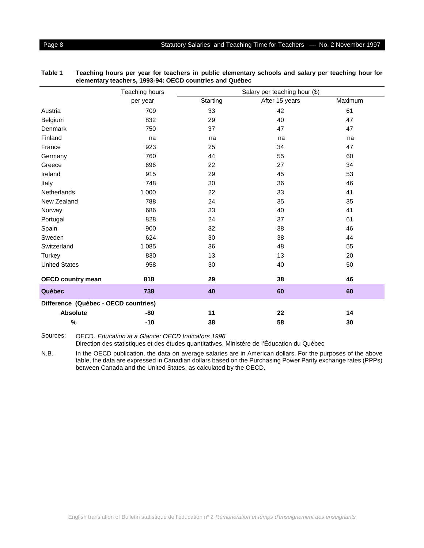|                                      | Teaching hours | Salary per teaching hour (\$) |                |         |  |  |
|--------------------------------------|----------------|-------------------------------|----------------|---------|--|--|
|                                      | per year       | Starting                      | After 15 years | Maximum |  |  |
| Austria                              | 709            | 33                            | 42             | 61      |  |  |
| Belgium                              | 832            | 29                            | 40             | 47      |  |  |
| Denmark                              | 750            | 37                            | 47             | 47      |  |  |
| Finland                              | na             | na                            | na             | na      |  |  |
| France                               | 923            | 25                            | 34             | 47      |  |  |
| Germany                              | 760            | 44                            | 55             | 60      |  |  |
| Greece                               | 696            | 22                            | 27             | 34      |  |  |
| Ireland                              | 915            | 29                            | 45             | 53      |  |  |
| Italy                                | 748            | 30                            | 36             | 46      |  |  |
| Netherlands                          | 1 0 0 0        | 22                            | 33             | 41      |  |  |
| New Zealand                          | 788            | 24                            | 35             | 35      |  |  |
| Norway                               | 686            | 33                            | 40             | 41      |  |  |
| Portugal                             | 828            | 24                            | 37             | 61      |  |  |
| Spain                                | 900            | 32                            | 38             | 46      |  |  |
| Sweden                               | 624            | 30                            | 38             | 44      |  |  |
| Switzerland                          | 1 0 8 5        | 36                            | 48             | 55      |  |  |
| <b>Turkey</b>                        | 830            | 13                            | 13             | 20      |  |  |
| <b>United States</b>                 | 958            | 30                            | 40             | 50      |  |  |
| <b>OECD country mean</b>             | 818            | 29                            | 38             | 46      |  |  |
| Québec                               | 738            | 40                            | 60             | 60      |  |  |
| Difference (Québec - OECD countries) |                |                               |                |         |  |  |
| <b>Absolute</b>                      | -80            | 11                            | 22             | 14      |  |  |
| $\%$                                 | $-10$          | 38                            | 58             | 30      |  |  |

| Table 1 | Teaching hours per year for teachers in public elementary schools and salary per teaching hour for |
|---------|----------------------------------------------------------------------------------------------------|
|         | elementary teachers, 1993-94: OECD countries and Québec                                            |

Sources: OECD. Education at a Glance: OECD Indicators 1996

Direction des statistiques et des études quantitatives, Ministère de l'Éducation du Québec

N.B. In the OECD publication, the data on average salaries are in American dollars. For the purposes of the above table, the data are expressed in Canadian dollars based on the Purchasing Power Parity exchange rates (PPPs) between Canada and the United States, as calculated by the OECD.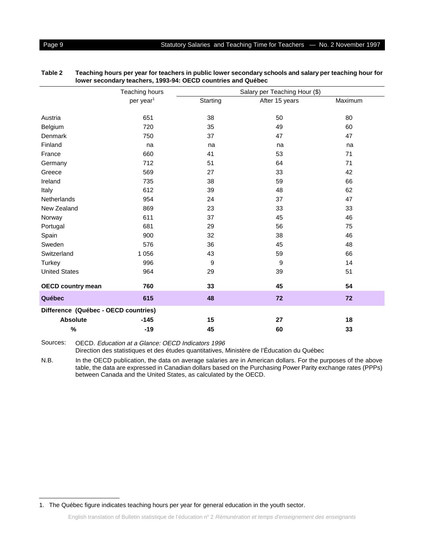|                                      | Teaching hours        |          | Salary per Teaching Hour (\$) |         |
|--------------------------------------|-----------------------|----------|-------------------------------|---------|
|                                      | per year <sup>1</sup> | Starting | After 15 years                | Maximum |
| Austria                              | 651                   | 38       | 50                            | 80      |
| Belgium                              | 720                   | 35       | 49                            | 60      |
| Denmark                              | 750                   | 37       | 47                            | 47      |
| Finland                              | na                    | na       | na                            | na      |
| France                               | 660                   | 41       | 53                            | 71      |
| Germany                              | 712                   | 51       | 64                            | 71      |
| Greece                               | 569                   | 27       | 33                            | 42      |
| Ireland                              | 735                   | 38       | 59                            | 66      |
| Italy                                | 612                   | 39       | 48                            | 62      |
| <b>Netherlands</b>                   | 954                   | 24       | 37                            | 47      |
| New Zealand                          | 869                   | 23       | 33                            | 33      |
| Norway                               | 611                   | 37       | 45                            | 46      |
| Portugal                             | 681                   | 29       | 56                            | 75      |
| Spain                                | 900                   | 32       | 38                            | 46      |
| Sweden                               | 576                   | 36       | 45                            | 48      |
| Switzerland                          | 1 0 5 6               | 43       | 59                            | 66      |
| <b>Turkey</b>                        | 996                   | 9        | 9                             | 14      |
| <b>United States</b>                 | 964                   | 29       | 39                            | 51      |
| <b>OECD country mean</b>             | 760                   | 33       | 45                            | 54      |
| Québec                               | 615                   | 48       | 72                            | 72      |
| Difference (Québec - OECD countries) |                       |          |                               |         |
| <b>Absolute</b>                      | $-145$                | 15       | 27                            | 18      |

| Table 2 | Teaching hours per year for teachers in public lower secondary schools and salary per teaching hour for |
|---------|---------------------------------------------------------------------------------------------------------|
|         | lower secondary teachers, 1993-94: OECD countries and Québec                                            |

Sources: OECD. Education at a Glance: OECD Indicators 1996

Direction des statistiques et des études quantitatives, Ministère de l'Éducation du Québec

N.B. In the OECD publication, the data on average salaries are in American dollars. For the purposes of the above table, the data are expressed in Canadian dollars based on the Purchasing Power Parity exchange rates (PPPs) between Canada and the United States, as calculated by the OECD.

**% -19 45 60 33**

<sup>1.</sup> The Québec figure indicates teaching hours per year for general education in the youth sector.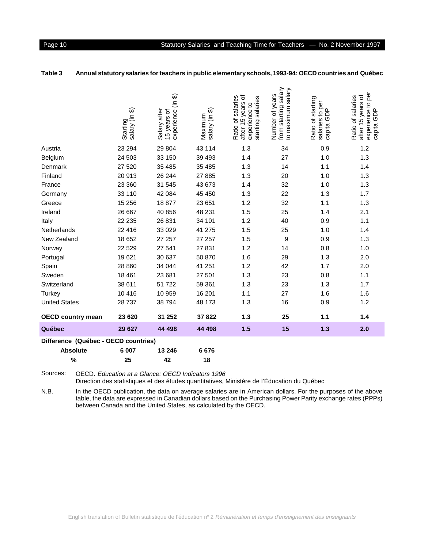|                                      | န<br>salary (in<br>Starting | (in 3)<br>Salary after<br>experience<br>15 years of | salary (in \$)<br>Maximum | đ<br>Ratio of salaries<br>starting salaries<br>after 15 years<br><u>ุ้</u><br>experience | from starting salary<br>salary<br>Number of years<br>to maximum | Ratio of starting<br>s to per<br>GDP<br>salaries<br>capita | per<br>after 15 years of<br>Ratio of salaries<br>experience to <b>p</b><br>capita GDP |  |
|--------------------------------------|-----------------------------|-----------------------------------------------------|---------------------------|------------------------------------------------------------------------------------------|-----------------------------------------------------------------|------------------------------------------------------------|---------------------------------------------------------------------------------------|--|
| Austria                              | 23 294                      | 29 804                                              | 43 114                    | 1.3                                                                                      | 34                                                              | 0.9                                                        | 1.2                                                                                   |  |
| Belgium                              | 24 503                      | 33 150                                              | 39 4 93                   | 1.4                                                                                      | 27                                                              | 1.0                                                        | 1.3                                                                                   |  |
| Denmark                              | 27 520                      | 35 485                                              | 35 485                    | 1.3                                                                                      | 14                                                              | 1.1                                                        | 1.4                                                                                   |  |
| Finland                              | 20913                       | 26 244                                              | 27 885                    | 1.3                                                                                      | 20                                                              | 1.0                                                        | 1.3                                                                                   |  |
| France                               | 23 360                      | 31 545                                              | 43 673                    | 1.4                                                                                      | 32                                                              | 1.0                                                        | 1.3                                                                                   |  |
| Germany                              | 33 110                      | 42 084                                              | 45 450                    | 1.3                                                                                      | 22                                                              | 1.3                                                        | 1.7                                                                                   |  |
| Greece                               | 15 25 6                     | 18877                                               | 23 651                    | 1.2                                                                                      | 32                                                              | 1.1                                                        | 1.3                                                                                   |  |
| Ireland                              | 26 667                      | 40 856                                              | 48 231                    | 1.5                                                                                      | 25                                                              | 1.4                                                        | 2.1                                                                                   |  |
| Italy                                | 22 235                      | 26 831                                              | 34 101                    | 1.2                                                                                      | 40                                                              | 0.9                                                        | 1.1                                                                                   |  |
| Netherlands                          | 22 416                      | 33 0 29                                             | 41 275                    | 1.5                                                                                      | 25                                                              | 1.0                                                        | 1.4                                                                                   |  |
| New Zealand                          | 18 652                      | 27 257                                              | 27 257                    | 1.5                                                                                      | 9                                                               | 0.9                                                        | 1.3                                                                                   |  |
| Norway                               | 22 5 29                     | 27 541                                              | 27 831                    | 1.2                                                                                      | 14                                                              | 0.8                                                        | 1.0                                                                                   |  |
| Portugal                             | 19621                       | 30 637                                              | 50 870                    | 1.6                                                                                      | 29                                                              | 1.3                                                        | 2.0                                                                                   |  |
| Spain                                | 28 860                      | 34 044                                              | 41 251                    | 1.2                                                                                      | 42                                                              | 1.7                                                        | 2.0                                                                                   |  |
| Sweden                               | 18 4 61                     | 23 681                                              | 27 501                    | 1.3                                                                                      | 23                                                              | 0.8                                                        | 1.1                                                                                   |  |
| Switzerland                          | 38 611                      | 51 722                                              | 59 361                    | 1.3                                                                                      | 23                                                              | 1.3                                                        | 1.7                                                                                   |  |
| <b>Turkey</b>                        | 10416                       | 10 959                                              | 16 201                    | 1.1                                                                                      | 27                                                              | 1.6                                                        | 1.6                                                                                   |  |
| <b>United States</b>                 | 28737                       | 38 794                                              | 48 173                    | 1.3                                                                                      | 16                                                              | 0.9                                                        | 1.2                                                                                   |  |
| <b>OECD country mean</b>             | 23 6 20                     | 31 252                                              | 37822                     | 1.3                                                                                      | 25                                                              | 1.1                                                        | 1.4                                                                                   |  |
| Québec                               | 29 627                      | 44 498                                              | 44 498                    | 1.5                                                                                      | 15                                                              | 1.3                                                        | 2.0                                                                                   |  |
| Difference (Québec - OECD countries) |                             |                                                     |                           |                                                                                          |                                                                 |                                                            |                                                                                       |  |
| <b>Absolute</b>                      | 6 0 0 7                     | 13 246                                              | 6676                      |                                                                                          |                                                                 |                                                            |                                                                                       |  |

| Table 3 |  |  |  |  | Annual statutory salaries for teachers in public elementary schools, 1993-94: OECD countries and Québec |  |
|---------|--|--|--|--|---------------------------------------------------------------------------------------------------------|--|
|---------|--|--|--|--|---------------------------------------------------------------------------------------------------------|--|

Sources: OECD. Education at a Glance: OECD Indicators 1996 Direction des statistiques et des études quantitatives, Ministère de l'Éducation du Québec

between Canada and the United States, as calculated by the OECD.

**% 25 42 18**

N.B. In the OECD publication, the data on average salaries are in American dollars. For the purposes of the above table, the data are expressed in Canadian dollars based on the Purchasing Power Parity exchange rates (PPPs)